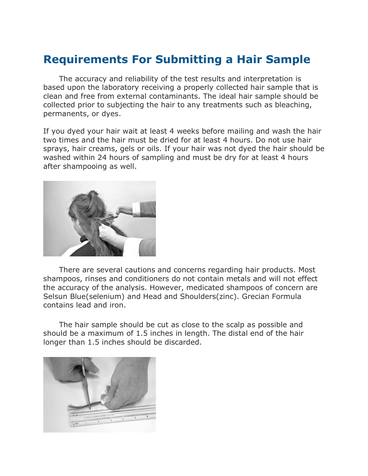## **Requirements For Submitting a Hair Sample**

The accuracy and reliability of the test results and interpretation is based upon the laboratory receiving a properly collected hair sample that is clean and free from external contaminants. The ideal hair sample should be collected prior to subjecting the hair to any treatments such as bleaching, permanents, or dyes.

If you dyed your hair wait at least 4 weeks before mailing and wash the hair two times and the hair must be dried for at least 4 hours. Do not use hair sprays, hair creams, gels or oils. If your hair was not dyed the hair should be washed within 24 hours of sampling and must be dry for at least 4 hours after shampooing as well.



There are several cautions and concerns regarding hair products. Most shampoos, rinses and conditioners do not contain metals and will not effect the accuracy of the analysis. However, medicated shampoos of concern are Selsun Blue(selenium) and Head and Shoulders(zinc). Grecian Formula contains lead and iron.

The hair sample should be cut as close to the scalp as possible and should be a maximum of 1.5 inches in length. The distal end of the hair longer than 1.5 inches should be discarded.